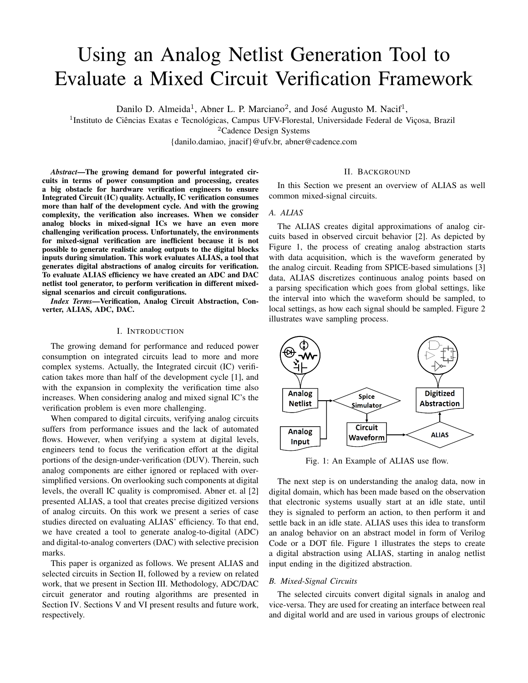# Using an Analog Netlist Generation Tool to Evaluate a Mixed Circuit Verification Framework

Danilo D. Almeida<sup>1</sup>, Abner L. P. Marciano<sup>2</sup>, and José Augusto M. Nacif<sup>1</sup>,

<sup>1</sup>Instituto de Ciências Exatas e Tecnológicas, Campus UFV-Florestal, Universidade Federal de Viçosa, Brazil

<sup>2</sup>Cadence Design Systems

{danilo.damiao, jnacif}@ufv.br, abner@cadence.com

*Abstract*—The growing demand for powerful integrated circuits in terms of power consumption and processing, creates a big obstacle for hardware verification engineers to ensure Integrated Circuit (IC) quality. Actually, IC verification consumes more than half of the development cycle. And with the growing complexity, the verification also increases. When we consider analog blocks in mixed-signal ICs we have an even more challenging verification process. Unfortunately, the environments for mixed-signal verification are inefficient because it is not possible to generate realistic analog outputs to the digital blocks inputs during simulation. This work evaluates ALIAS, a tool that generates digital abstractions of analog circuits for verification. To evaluate ALIAS efficiency we have created an ADC and DAC netlist tool generator, to perform verification in different mixedsignal scenarios and circuit configurations.

*Index Terms*—Verification, Analog Circuit Abstraction, Converter, ALIAS, ADC, DAC.

## I. INTRODUCTION

The growing demand for performance and reduced power consumption on integrated circuits lead to more and more complex systems. Actually, the Integrated circuit (IC) verification takes more than half of the development cycle [1], and with the expansion in complexity the verification time also increases. When considering analog and mixed signal IC's the verification problem is even more challenging.

When compared to digital circuits, verifying analog circuits suffers from performance issues and the lack of automated flows. However, when verifying a system at digital levels, engineers tend to focus the verification effort at the digital portions of the design-under-verification (DUV). Therein, such analog components are either ignored or replaced with oversimplified versions. On overlooking such components at digital levels, the overall IC quality is compromised. Abner et. al [2] presented ALIAS, a tool that creates precise digitized versions of analog circuits. On this work we present a series of case studies directed on evaluating ALIAS' efficiency. To that end, we have created a tool to generate analog-to-digital (ADC) and digital-to-analog converters (DAC) with selective precision marks.

This paper is organized as follows. We present ALIAS and selected circuits in Section II, followed by a review on related work, that we present in Section III. Methodology, ADC/DAC circuit generator and routing algorithms are presented in Section IV. Sections V and VI present results and future work, respectively.

## II. BACKGROUND

In this Section we present an overview of ALIAS as well common mixed-signal circuits.

## *A. ALIAS*

The ALIAS creates digital approximations of analog circuits based in observed circuit behavior [2]. As depicted by Figure 1, the process of creating analog abstraction starts with data acquisition, which is the waveform generated by the analog circuit. Reading from SPICE-based simulations [3] data, ALIAS discretizes continuous analog points based on a parsing specification which goes from global settings, like the interval into which the waveform should be sampled, to local settings, as how each signal should be sampled. Figure 2 illustrates wave sampling process.



Fig. 1: An Example of ALIAS use flow.

The next step is on understanding the analog data, now in digital domain, which has been made based on the observation that electronic systems usually start at an idle state, until they is signaled to perform an action, to then perform it and settle back in an idle state. ALIAS uses this idea to transform an analog behavior on an abstract model in form of Verilog Code or a DOT file. Figure 1 illustrates the steps to create a digital abstraction using ALIAS, starting in analog netlist input ending in the digitized abstraction.

## *B. Mixed-Signal Circuits*

The selected circuits convert digital signals in analog and vice-versa. They are used for creating an interface between real and digital world and are used in various groups of electronic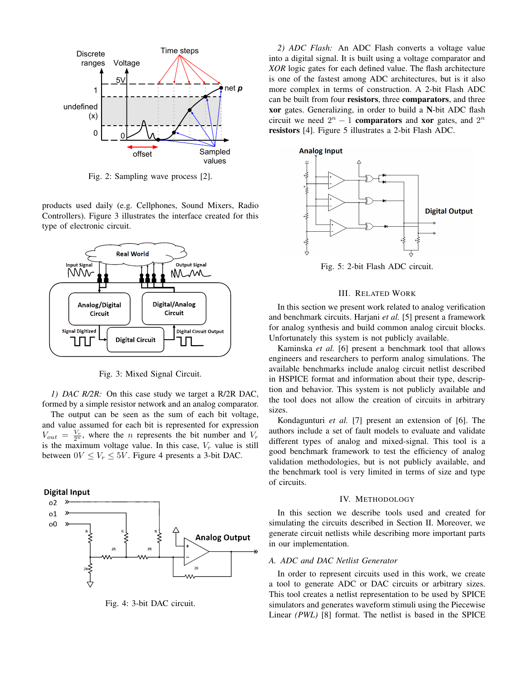

Fig. 2: Sampling wave process [2].

products used daily (e.g. Cellphones, Sound Mixers, Radio Controllers). Figure 3 illustrates the interface created for this type of electronic circuit.



Fig. 3: Mixed Signal Circuit.

*1) DAC R/2R:* On this case study we target a R/2R DAC, formed by a simple resistor network and an analog comparator.

The output can be seen as the sum of each bit voltage, and value assumed for each bit is represented for expression  $V_{out} = \frac{V_r}{2^n}$ , where the *n* represents the bit number and  $V_r$ is the maximum voltage value. In this case,  $V_r$  value is still between  $0V \leq V_r \leq 5V$ . Figure 4 presents a 3-bit DAC.



Fig. 4: 3-bit DAC circuit.

*2) ADC Flash:* An ADC Flash converts a voltage value into a digital signal. It is built using a voltage comparator and *XOR* logic gates for each defined value. The flash architecture is one of the fastest among ADC architectures, but is it also more complex in terms of construction. A 2-bit Flash ADC can be built from four resistors, three comparators, and three xor gates. Generalizing, in order to build a N-bit ADC flash circuit we need  $2^n - 1$  comparators and xor gates, and  $2^n$ resistors [4]. Figure 5 illustrates a 2-bit Flash ADC.



Fig. 5: 2-bit Flash ADC circuit.

#### III. RELATED WORK

In this section we present work related to analog verification and benchmark circuits. Harjani *et al.* [5] present a framework for analog synthesis and build common analog circuit blocks. Unfortunately this system is not publicly available.

Kaminska *et al.* [6] present a benchmark tool that allows engineers and researchers to perform analog simulations. The available benchmarks include analog circuit netlist described in HSPICE format and information about their type, description and behavior. This system is not publicly available and the tool does not allow the creation of circuits in arbitrary sizes.

Kondagunturi *et al.* [7] present an extension of [6]. The authors include a set of fault models to evaluate and validate different types of analog and mixed-signal. This tool is a good benchmark framework to test the efficiency of analog validation methodologies, but is not publicly available, and the benchmark tool is very limited in terms of size and type of circuits.

### IV. METHODOLOGY

In this section we describe tools used and created for simulating the circuits described in Section II. Moreover, we generate circuit netlists while describing more important parts in our implementation.

#### *A. ADC and DAC Netlist Generator*

In order to represent circuits used in this work, we create a tool to generate ADC or DAC circuits or arbitrary sizes. This tool creates a netlist representation to be used by SPICE simulators and generates waveform stimuli using the Piecewise Linear *(PWL)* [8] format. The netlist is based in the SPICE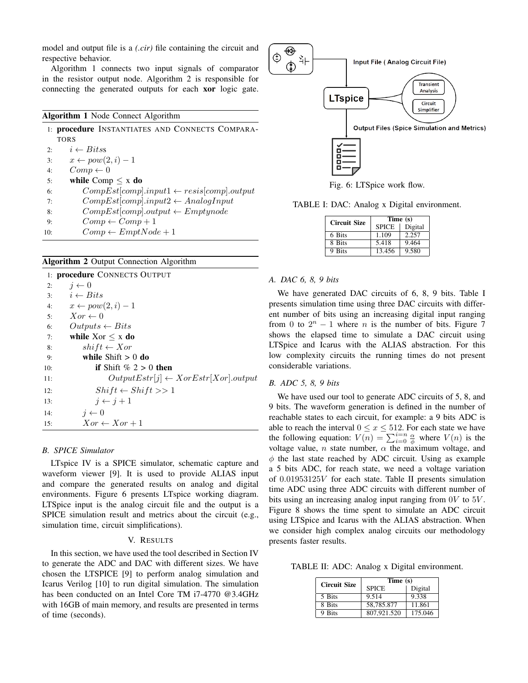model and output file is a *(.cir)* file containing the circuit and respective behavior.

Algorithm 1 connects two input signals of comparator in the resistor output node. Algorithm 2 is responsible for connecting the generated outputs for each xor logic gate.

## Algorithm 1 Node Connect Algorithm

|     | 1: procedure INSTANTIATES AND CONNECTS COMPARA-       |
|-----|-------------------------------------------------------|
|     | <b>TORS</b>                                           |
| 2:  | $i \leftarrow \text{Bitss}$                           |
| 3:  | $x \leftarrow pow(2, i) - 1$                          |
| 4:  | $Comp \leftarrow 0$                                   |
| 5:  | while Comp $\leq x$ do                                |
| 6:  | $CompEst[comp].input1 \leftarrow resist[comp].output$ |
| 7:  | $CompEst[comp].input2 \leftarrow AnalogInput$         |
| 8:  | $CompEst[comp].output \leftarrow Emptynode$           |
| 9:  | $Comp \leftarrow Comp + 1$                            |
| 10: | $Comp \leftarrow EmbNode + 1$                         |

## Algorithm 2 Output Connection Algorithm

|     | 1: <b>procedure</b> CONNECTS OUTPUT            |  |  |  |  |
|-----|------------------------------------------------|--|--|--|--|
| 2:  | $j \leftarrow 0$                               |  |  |  |  |
|     | 3: $i \leftarrow Bits$                         |  |  |  |  |
| 4:  | $x \leftarrow pow(2, i) - 1$                   |  |  |  |  |
| 5:  | $Xor \leftarrow 0$                             |  |  |  |  |
| 6:  | $Outputs \leftarrow Bits$                      |  |  |  |  |
| 7:  | while $Xor < x$ do                             |  |  |  |  |
| 8:  | $shift \leftarrow Xor$                         |  |  |  |  |
| 9:  | while $Shift > 0$ do                           |  |  |  |  |
| 10: | if Shift $\%$ 2 > 0 then                       |  |  |  |  |
| 11: | $OutputEstr[j] \leftarrow XorEstr[Xor].output$ |  |  |  |  |
| 12: | $Shift \leftarrow Shift >> 1$                  |  |  |  |  |
| 13: | $i \leftarrow i+1$                             |  |  |  |  |
| 14: | $i \leftarrow 0$                               |  |  |  |  |
| 15: | $Xor \leftarrow Xor + 1$                       |  |  |  |  |

## *B. SPICE Simulator*

LTspice IV is a SPICE simulator, schematic capture and waveform viewer [9]. It is used to provide ALIAS input and compare the generated results on analog and digital environments. Figure 6 presents LTspice working diagram. LTSpice input is the analog circuit file and the output is a SPICE simulation result and metrics about the circuit (e.g., simulation time, circuit simplifications).

## V. RESULTS

In this section, we have used the tool described in Section IV to generate the ADC and DAC with different sizes. We have chosen the LTSPICE [9] to perform analog simulation and Icarus Verilog [10] to run digital simulation. The simulation has been conducted on an Intel Core TM i7-4770 @3.4GHz with 16GB of main memory, and results are presented in terms of time (seconds).



Fig. 6: LTSpice work flow.

TABLE I: DAC: Analog x Digital environment.

| <b>Circuit Size</b> | Time (s)     |         |
|---------------------|--------------|---------|
|                     | <b>SPICE</b> | Digital |
| 6 Bits              | 1.109        | 2.257   |
| 8 Bits              | 5.418        | 9.464   |
| 9 Bits              | 13.456       | 9.580   |

## *A. DAC 6, 8, 9 bits*

We have generated DAC circuits of 6, 8, 9 bits. Table I presents simulation time using three DAC circuits with different number of bits using an increasing digital input ranging from 0 to  $2^n - 1$  where *n* is the number of bits. Figure 7 shows the elapsed time to simulate a DAC circuit using LTSpice and Icarus with the ALIAS abstraction. For this low complexity circuits the running times do not present considerable variations.

#### *B. ADC 5, 8, 9 bits*

We have used our tool to generate ADC circuits of 5, 8, and 9 bits. The waveform generation is defined in the number of reachable states to each circuit, for example: a 9 bits ADC is able to reach the interval  $0 \le x \le 512$ . For each state we have the following equation:  $V(n) = \sum_{i=0}^{n} \frac{\alpha}{\phi}$  where  $V(n)$  is the voltage value, *n* state number,  $\alpha$  the maximum voltage, and  $\phi$  the last state reached by ADC circuit. Using as example a 5 bits ADC, for reach state, we need a voltage variation of 0.01953125V for each state. Table II presents simulation time ADC using three ADC circuits with different number of bits using an increasing analog input ranging from  $0V$  to  $5V$ . Figure 8 shows the time spent to simulate an ADC circuit using LTSpice and Icarus with the ALIAS abstraction. When we consider high complex analog circuits our methodology presents faster results.

TABLE II: ADC: Analog x Digital environment.

| <b>Circuit Size</b> | Time (s)     |         |
|---------------------|--------------|---------|
|                     | <b>SPICE</b> | Digital |
| 5 Bits              | 9.514        | 9.338   |
| 8 Bits              | 58,785.877   | 11.861  |
| 9 Bits              | 807,921.520  | 175.046 |